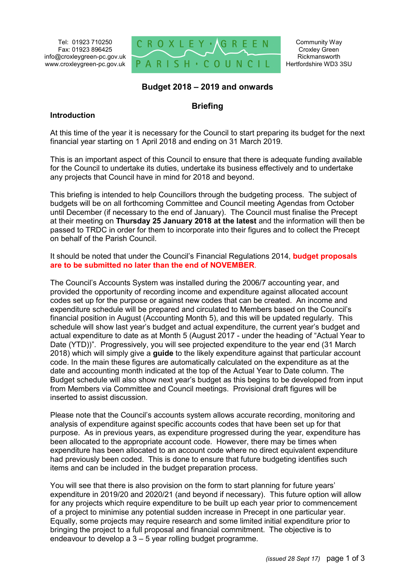Tel: 01923 710250 Fax: 01923 896425 info@croxleygreen-pc.gov.uk www.croxleygreen-pc.gov.uk



### **Budget 2018 – 2019 and onwards**

## **Briefing**

#### **Introduction**

At this time of the year it is necessary for the Council to start preparing its budget for the next financial year starting on 1 April 2018 and ending on 31 March 2019.

This is an important aspect of this Council to ensure that there is adequate funding available for the Council to undertake its duties, undertake its business effectively and to undertake any projects that Council have in mind for 2018 and beyond.

This briefing is intended to help Councillors through the budgeting process. The subject of budgets will be on all forthcoming Committee and Council meeting Agendas from October until December (if necessary to the end of January). The Council must finalise the Precept at their meeting on **Thursday 25 January 2018 at the latest** and the information will then be passed to TRDC in order for them to incorporate into their figures and to collect the Precept on behalf of the Parish Council.

It should be noted that under the Council's Financial Regulations 2014, **budget proposals are to be submitted no later than the end of NOVEMBER**.

The Council's Accounts System was installed during the 2006/7 accounting year, and provided the opportunity of recording income and expenditure against allocated account codes set up for the purpose or against new codes that can be created. An income and expenditure schedule will be prepared and circulated to Members based on the Council's financial position in August (Accounting Month 5), and this will be updated regularly. This schedule will show last year's budget and actual expenditure, the current year's budget and actual expenditure to date as at Month 5 (August 2017 - under the heading of "Actual Year to Date (YTD))". Progressively, you will see projected expenditure to the year end (31 March 2018) which will simply give a **guide** to the likely expenditure against that particular account code. In the main these figures are automatically calculated on the expenditure as at the date and accounting month indicated at the top of the Actual Year to Date column. The Budget schedule will also show next year's budget as this begins to be developed from input from Members via Committee and Council meetings. Provisional draft figures will be inserted to assist discussion.

Please note that the Council's accounts system allows accurate recording, monitoring and analysis of expenditure against specific accounts codes that have been set up for that purpose. As in previous years, as expenditure progressed during the year, expenditure has been allocated to the appropriate account code. However, there may be times when expenditure has been allocated to an account code where no direct equivalent expenditure had previously been coded. This is done to ensure that future budgeting identifies such items and can be included in the budget preparation process.

You will see that there is also provision on the form to start planning for future years' expenditure in 2019/20 and 2020/21 (and beyond if necessary). This future option will allow for any projects which require expenditure to be built up each year prior to commencement of a project to minimise any potential sudden increase in Precept in one particular year. Equally, some projects may require research and some limited initial expenditure prior to bringing the project to a full proposal and financial commitment. The objective is to endeavour to develop a 3 – 5 year rolling budget programme.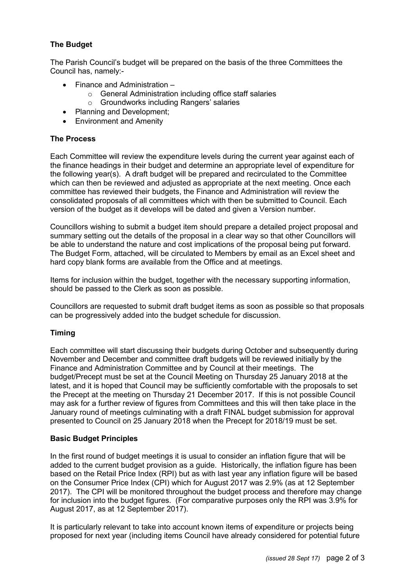# **The Budget**

The Parish Council's budget will be prepared on the basis of the three Committees the Council has, namely:-

- Finance and Administration
	- o General Administration including office staff salaries
		- o Groundworks including Rangers' salaries
- Planning and Development;
- Environment and Amenity

#### **The Process**

Each Committee will review the expenditure levels during the current year against each of the finance headings in their budget and determine an appropriate level of expenditure for the following year(s). A draft budget will be prepared and recirculated to the Committee which can then be reviewed and adjusted as appropriate at the next meeting. Once each committee has reviewed their budgets, the Finance and Administration will review the consolidated proposals of all committees which with then be submitted to Council. Each version of the budget as it develops will be dated and given a Version number.

Councillors wishing to submit a budget item should prepare a detailed project proposal and summary setting out the details of the proposal in a clear way so that other Councillors will be able to understand the nature and cost implications of the proposal being put forward. The Budget Form, attached, will be circulated to Members by email as an Excel sheet and hard copy blank forms are available from the Office and at meetings.

Items for inclusion within the budget, together with the necessary supporting information, should be passed to the Clerk as soon as possible.

Councillors are requested to submit draft budget items as soon as possible so that proposals can be progressively added into the budget schedule for discussion.

#### **Timing**

Each committee will start discussing their budgets during October and subsequently during November and December and committee draft budgets will be reviewed initially by the Finance and Administration Committee and by Council at their meetings. The budget/Precept must be set at the Council Meeting on Thursday 25 January 2018 at the latest, and it is hoped that Council may be sufficiently comfortable with the proposals to set the Precept at the meeting on Thursday 21 December 2017. If this is not possible Council may ask for a further review of figures from Committees and this will then take place in the January round of meetings culminating with a draft FINAL budget submission for approval presented to Council on 25 January 2018 when the Precept for 2018/19 must be set.

#### **Basic Budget Principles**

In the first round of budget meetings it is usual to consider an inflation figure that will be added to the current budget provision as a guide. Historically, the inflation figure has been based on the Retail Price Index (RPI) but as with last year any inflation figure will be based on the Consumer Price Index (CPI) which for August 2017 was 2.9% (as at 12 September 2017). The CPI will be monitored throughout the budget process and therefore may change for inclusion into the budget figures. (For comparative purposes only the RPI was 3.9% for August 2017, as at 12 September 2017).

It is particularly relevant to take into account known items of expenditure or projects being proposed for next year (including items Council have already considered for potential future